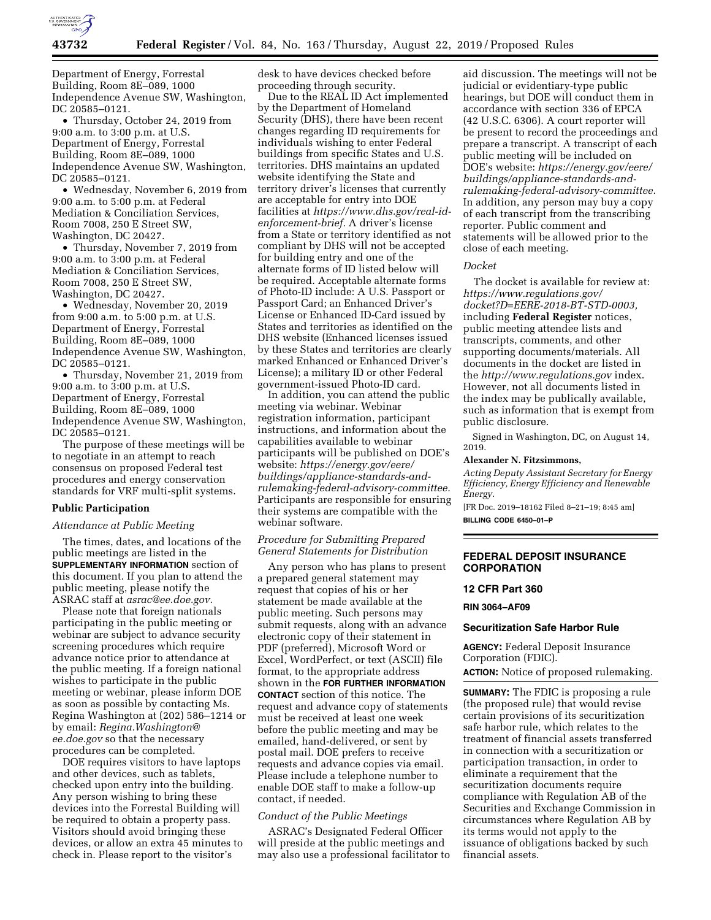

Department of Energy, Forrestal Building, Room 8E–089, 1000 Independence Avenue SW, Washington, DC 20585–0121.

• Thursday, October 24, 2019 from 9:00 a.m. to 3:00 p.m. at U.S. Department of Energy, Forrestal Building, Room 8E–089, 1000 Independence Avenue SW, Washington, DC 20585–0121.

• Wednesday, November 6, 2019 from 9:00 a.m. to 5:00 p.m. at Federal Mediation & Conciliation Services, Room 7008, 250 E Street SW, Washington, DC 20427.

• Thursday, November 7, 2019 from 9:00 a.m. to 3:00 p.m. at Federal Mediation & Conciliation Services, Room 7008, 250 E Street SW, Washington, DC 20427.

• Wednesday, November 20, 2019 from 9:00 a.m. to 5:00 p.m. at U.S. Department of Energy, Forrestal Building, Room 8E–089, 1000 Independence Avenue SW, Washington, DC 20585–0121.

• Thursday, November 21, 2019 from 9:00 a.m. to 3:00 p.m. at U.S. Department of Energy, Forrestal Building, Room 8E–089, 1000 Independence Avenue SW, Washington, DC 20585–0121.

The purpose of these meetings will be to negotiate in an attempt to reach consensus on proposed Federal test procedures and energy conservation standards for VRF multi-split systems.

#### **Public Participation**

## *Attendance at Public Meeting*

The times, dates, and locations of the public meetings are listed in the **SUPPLEMENTARY INFORMATION** section of this document. If you plan to attend the public meeting, please notify the ASRAC staff at *asrac@ee.doe.gov.* 

Please note that foreign nationals participating in the public meeting or webinar are subject to advance security screening procedures which require advance notice prior to attendance at the public meeting. If a foreign national wishes to participate in the public meeting or webinar, please inform DOE as soon as possible by contacting Ms. Regina Washington at (202) 586–1214 or by email: *Regina.Washington@ ee.doe.gov* so that the necessary procedures can be completed.

DOE requires visitors to have laptops and other devices, such as tablets, checked upon entry into the building. Any person wishing to bring these devices into the Forrestal Building will be required to obtain a property pass. Visitors should avoid bringing these devices, or allow an extra 45 minutes to check in. Please report to the visitor's

desk to have devices checked before proceeding through security.

Due to the REAL ID Act implemented by the Department of Homeland Security (DHS), there have been recent changes regarding ID requirements for individuals wishing to enter Federal buildings from specific States and U.S. territories. DHS maintains an updated website identifying the State and territory driver's licenses that currently are acceptable for entry into DOE facilities at *https://www.dhs.gov/real-idenforcement-brief.* A driver's license from a State or territory identified as not compliant by DHS will not be accepted for building entry and one of the alternate forms of ID listed below will be required. Acceptable alternate forms of Photo-ID include: A U.S. Passport or Passport Card; an Enhanced Driver's License or Enhanced ID-Card issued by States and territories as identified on the DHS website (Enhanced licenses issued by these States and territories are clearly marked Enhanced or Enhanced Driver's License); a military ID or other Federal government-issued Photo-ID card.

In addition, you can attend the public meeting via webinar. Webinar registration information, participant instructions, and information about the capabilities available to webinar participants will be published on DOE's website: *https://energy.gov/eere/ buildings/appliance-standards-andrulemaking-federal-advisory-committee.*  Participants are responsible for ensuring their systems are compatible with the webinar software.

## *Procedure for Submitting Prepared General Statements for Distribution*

Any person who has plans to present a prepared general statement may request that copies of his or her statement be made available at the public meeting. Such persons may submit requests, along with an advance electronic copy of their statement in PDF (preferred), Microsoft Word or Excel, WordPerfect, or text (ASCII) file format, to the appropriate address shown in the **FOR FURTHER INFORMATION CONTACT** section of this notice. The request and advance copy of statements must be received at least one week before the public meeting and may be emailed, hand-delivered, or sent by postal mail. DOE prefers to receive requests and advance copies via email. Please include a telephone number to enable DOE staff to make a follow-up contact, if needed.

### *Conduct of the Public Meetings*

ASRAC's Designated Federal Officer will preside at the public meetings and may also use a professional facilitator to

aid discussion. The meetings will not be judicial or evidentiary-type public hearings, but DOE will conduct them in accordance with section 336 of EPCA (42 U.S.C. 6306). A court reporter will be present to record the proceedings and prepare a transcript. A transcript of each public meeting will be included on DOE's website: *https://energy.gov/eere/ buildings/appliance-standards-andrulemaking-federal-advisory-committee.*  In addition, any person may buy a copy of each transcript from the transcribing reporter. Public comment and statements will be allowed prior to the close of each meeting.

#### *Docket*

The docket is available for review at: *https://www.regulations.gov/ docket?D=EERE-2018-BT-STD-0003,*  including **Federal Register** notices, public meeting attendee lists and transcripts, comments, and other supporting documents/materials. All documents in the docket are listed in the *http://www.regulations.gov* index. However, not all documents listed in the index may be publically available, such as information that is exempt from public disclosure.

Signed in Washington, DC, on August 14, 2019.

## **Alexander N. Fitzsimmons,**

*Acting Deputy Assistant Secretary for Energy Efficiency, Energy Efficiency and Renewable Energy.* 

[FR Doc. 2019–18162 Filed 8–21–19; 8:45 am] **BILLING CODE 6450–01–P** 

## **FEDERAL DEPOSIT INSURANCE CORPORATION**

#### **12 CFR Part 360**

**RIN 3064–AF09** 

### **Securitization Safe Harbor Rule**

**AGENCY:** Federal Deposit Insurance Corporation (FDIC).

**ACTION:** Notice of proposed rulemaking.

**SUMMARY:** The FDIC is proposing a rule (the proposed rule) that would revise certain provisions of its securitization safe harbor rule, which relates to the treatment of financial assets transferred in connection with a securitization or participation transaction, in order to eliminate a requirement that the securitization documents require compliance with Regulation AB of the Securities and Exchange Commission in circumstances where Regulation AB by its terms would not apply to the issuance of obligations backed by such financial assets.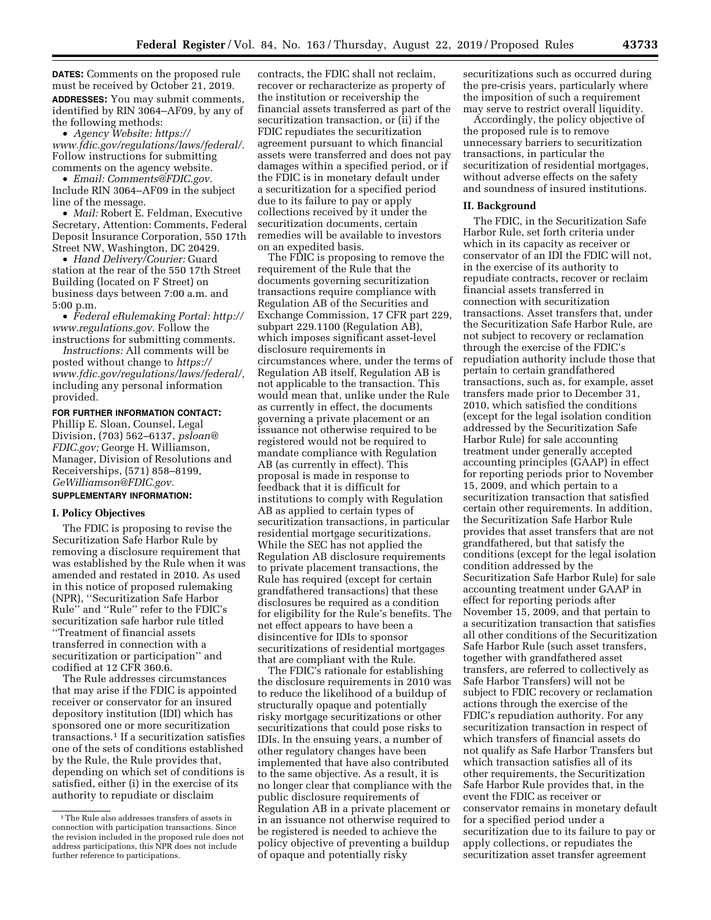**DATES:** Comments on the proposed rule must be received by October 21, 2019. **ADDRESSES:** You may submit comments, identified by RIN 3064–AF09, by any of the following methods:

• *Agency Website: https:// www.fdic.gov/regulations/laws/federal/.*  Follow instructions for submitting comments on the agency website.

• *Email: Comments@FDIC.gov.*  Include RIN 3064–AF09 in the subject line of the message.

• *Mail:* Robert E. Feldman, Executive Secretary, Attention: Comments, Federal Deposit Insurance Corporation, 550 17th Street NW, Washington, DC 20429.

• *Hand Delivery/Courier:* Guard station at the rear of the 550 17th Street Building (located on F Street) on business days between 7:00 a.m. and 5:00 p.m.

• *Federal eRulemaking Portal: http:// www.regulations.gov.* Follow the instructions for submitting comments.

*Instructions:* All comments will be posted without change to *https:// www.fdic.gov/regulations/laws/federal/,*  including any personal information provided.

### **FOR FURTHER INFORMATION CONTACT:**

Phillip E. Sloan, Counsel, Legal Division, (703) 562–6137, *psloan@ FDIC.gov;* George H. Williamson, Manager, Division of Resolutions and Receiverships, (571) 858–8199, *GeWilliamson@FDIC.gov.* 

## **SUPPLEMENTARY INFORMATION:**

## **I. Policy Objectives**

The FDIC is proposing to revise the Securitization Safe Harbor Rule by removing a disclosure requirement that was established by the Rule when it was amended and restated in 2010. As used in this notice of proposed rulemaking (NPR), ''Securitization Safe Harbor Rule'' and ''Rule'' refer to the FDIC's securitization safe harbor rule titled ''Treatment of financial assets transferred in connection with a securitization or participation'' and codified at 12 CFR 360.6.

The Rule addresses circumstances that may arise if the FDIC is appointed receiver or conservator for an insured depository institution (IDI) which has sponsored one or more securitization transactions.1 If a securitization satisfies one of the sets of conditions established by the Rule, the Rule provides that, depending on which set of conditions is satisfied, either (i) in the exercise of its authority to repudiate or disclaim

contracts, the FDIC shall not reclaim, recover or recharacterize as property of the institution or receivership the financial assets transferred as part of the securitization transaction, or (ii) if the FDIC repudiates the securitization agreement pursuant to which financial assets were transferred and does not pay damages within a specified period, or if the FDIC is in monetary default under a securitization for a specified period due to its failure to pay or apply collections received by it under the securitization documents, certain remedies will be available to investors on an expedited basis.

The FDIC is proposing to remove the requirement of the Rule that the documents governing securitization transactions require compliance with Regulation AB of the Securities and Exchange Commission, 17 CFR part 229, subpart 229.1100 (Regulation AB), which imposes significant asset-level disclosure requirements in circumstances where, under the terms of Regulation AB itself, Regulation AB is not applicable to the transaction. This would mean that, unlike under the Rule as currently in effect, the documents governing a private placement or an issuance not otherwise required to be registered would not be required to mandate compliance with Regulation AB (as currently in effect). This proposal is made in response to feedback that it is difficult for institutions to comply with Regulation AB as applied to certain types of securitization transactions, in particular residential mortgage securitizations. While the SEC has not applied the Regulation AB disclosure requirements to private placement transactions, the Rule has required (except for certain grandfathered transactions) that these disclosures be required as a condition for eligibility for the Rule's benefits. The net effect appears to have been a disincentive for IDIs to sponsor securitizations of residential mortgages that are compliant with the Rule.

The FDIC's rationale for establishing the disclosure requirements in 2010 was to reduce the likelihood of a buildup of structurally opaque and potentially risky mortgage securitizations or other securitizations that could pose risks to IDIs. In the ensuing years, a number of other regulatory changes have been implemented that have also contributed to the same objective. As a result, it is no longer clear that compliance with the public disclosure requirements of Regulation AB in a private placement or in an issuance not otherwise required to be registered is needed to achieve the policy objective of preventing a buildup of opaque and potentially risky

securitizations such as occurred during the pre-crisis years, particularly where the imposition of such a requirement may serve to restrict overall liquidity.

Accordingly, the policy objective of the proposed rule is to remove unnecessary barriers to securitization transactions, in particular the securitization of residential mortgages, without adverse effects on the safety and soundness of insured institutions.

### **II. Background**

The FDIC, in the Securitization Safe Harbor Rule, set forth criteria under which in its capacity as receiver or conservator of an IDI the FDIC will not, in the exercise of its authority to repudiate contracts, recover or reclaim financial assets transferred in connection with securitization transactions. Asset transfers that, under the Securitization Safe Harbor Rule, are not subject to recovery or reclamation through the exercise of the FDIC's repudiation authority include those that pertain to certain grandfathered transactions, such as, for example, asset transfers made prior to December 31, 2010, which satisfied the conditions (except for the legal isolation condition addressed by the Securitization Safe Harbor Rule) for sale accounting treatment under generally accepted accounting principles (GAAP) in effect for reporting periods prior to November 15, 2009, and which pertain to a securitization transaction that satisfied certain other requirements. In addition, the Securitization Safe Harbor Rule provides that asset transfers that are not grandfathered, but that satisfy the conditions (except for the legal isolation condition addressed by the Securitization Safe Harbor Rule) for sale accounting treatment under GAAP in effect for reporting periods after November 15, 2009, and that pertain to a securitization transaction that satisfies all other conditions of the Securitization Safe Harbor Rule (such asset transfers, together with grandfathered asset transfers, are referred to collectively as Safe Harbor Transfers) will not be subject to FDIC recovery or reclamation actions through the exercise of the FDIC's repudiation authority. For any securitization transaction in respect of which transfers of financial assets do not qualify as Safe Harbor Transfers but which transaction satisfies all of its other requirements, the Securitization Safe Harbor Rule provides that, in the event the FDIC as receiver or conservator remains in monetary default for a specified period under a securitization due to its failure to pay or apply collections, or repudiates the securitization asset transfer agreement

 $^{\rm 1}\!$  The Rule also addresses transfers of assets in connection with participation transactions. Since the revision included in the proposed rule does not address participations, this NPR does not include further reference to participations.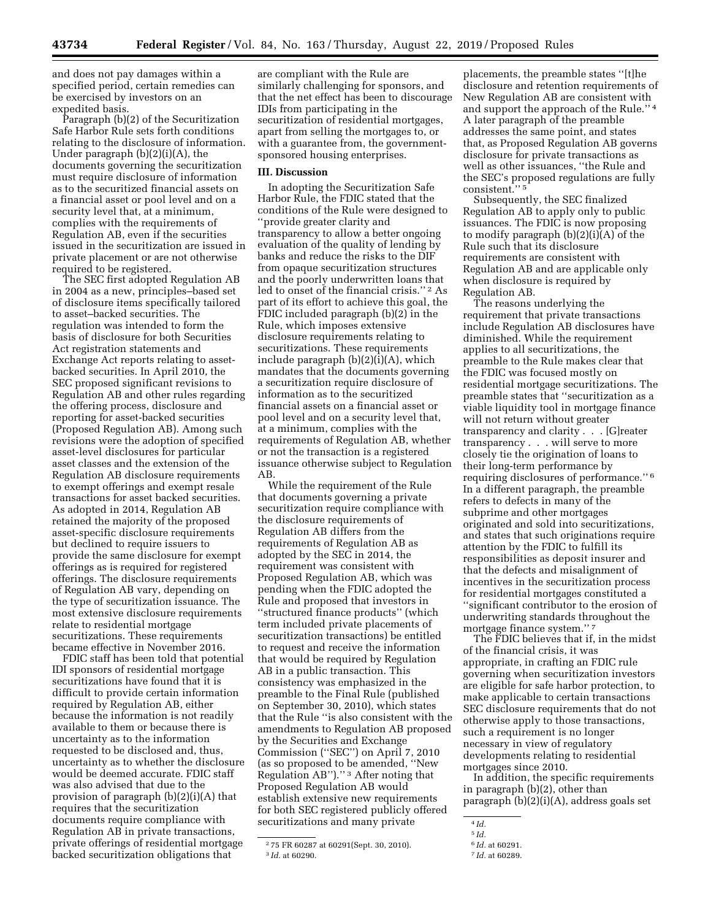and does not pay damages within a specified period, certain remedies can be exercised by investors on an expedited basis.

Paragraph (b)(2) of the Securitization Safe Harbor Rule sets forth conditions relating to the disclosure of information. Under paragraph (b)(2)(i)(A), the documents governing the securitization must require disclosure of information as to the securitized financial assets on a financial asset or pool level and on a security level that, at a minimum, complies with the requirements of Regulation AB, even if the securities issued in the securitization are issued in private placement or are not otherwise required to be registered.

The SEC first adopted Regulation AB in 2004 as a new, principles–based set of disclosure items specifically tailored to asset–backed securities. The regulation was intended to form the basis of disclosure for both Securities Act registration statements and Exchange Act reports relating to assetbacked securities. In April 2010, the SEC proposed significant revisions to Regulation AB and other rules regarding the offering process, disclosure and reporting for asset-backed securities (Proposed Regulation AB). Among such revisions were the adoption of specified asset-level disclosures for particular asset classes and the extension of the Regulation AB disclosure requirements to exempt offerings and exempt resale transactions for asset backed securities. As adopted in 2014, Regulation AB retained the majority of the proposed asset-specific disclosure requirements but declined to require issuers to provide the same disclosure for exempt offerings as is required for registered offerings. The disclosure requirements of Regulation AB vary, depending on the type of securitization issuance. The most extensive disclosure requirements relate to residential mortgage securitizations. These requirements became effective in November 2016.

FDIC staff has been told that potential IDI sponsors of residential mortgage securitizations have found that it is difficult to provide certain information required by Regulation AB, either because the information is not readily available to them or because there is uncertainty as to the information requested to be disclosed and, thus, uncertainty as to whether the disclosure would be deemed accurate. FDIC staff was also advised that due to the provision of paragraph (b)(2)(i)(A) that requires that the securitization documents require compliance with Regulation AB in private transactions, private offerings of residential mortgage backed securitization obligations that

are compliant with the Rule are similarly challenging for sponsors, and that the net effect has been to discourage IDIs from participating in the securitization of residential mortgages, apart from selling the mortgages to, or with a guarantee from, the governmentsponsored housing enterprises.

#### **III. Discussion**

In adopting the Securitization Safe Harbor Rule, the FDIC stated that the conditions of the Rule were designed to ''provide greater clarity and transparency to allow a better ongoing evaluation of the quality of lending by banks and reduce the risks to the DIF from opaque securitization structures and the poorly underwritten loans that led to onset of the financial crisis.'' 2 As part of its effort to achieve this goal, the FDIC included paragraph (b)(2) in the Rule, which imposes extensive disclosure requirements relating to securitizations. These requirements include paragraph (b)(2)(i)(A), which mandates that the documents governing a securitization require disclosure of information as to the securitized financial assets on a financial asset or pool level and on a security level that, at a minimum, complies with the requirements of Regulation AB, whether or not the transaction is a registered issuance otherwise subject to Regulation AB.

While the requirement of the Rule that documents governing a private securitization require compliance with the disclosure requirements of Regulation AB differs from the requirements of Regulation AB as adopted by the SEC in 2014, the requirement was consistent with Proposed Regulation AB, which was pending when the FDIC adopted the Rule and proposed that investors in ''structured finance products'' (which term included private placements of securitization transactions) be entitled to request and receive the information that would be required by Regulation AB in a public transaction. This consistency was emphasized in the preamble to the Final Rule (published on September 30, 2010), which states that the Rule ''is also consistent with the amendments to Regulation AB proposed by the Securities and Exchange Commission (''SEC'') on April 7, 2010 (as so proposed to be amended, ''New Regulation AB'').'' 3 After noting that Proposed Regulation AB would establish extensive new requirements for both SEC registered publicly offered securitizations and many private

placements, the preamble states ''[t]he disclosure and retention requirements of New Regulation AB are consistent with and support the approach of the Rule.'' 4 A later paragraph of the preamble addresses the same point, and states that, as Proposed Regulation AB governs disclosure for private transactions as well as other issuances, ''the Rule and the SEC's proposed regulations are fully consistent.'' 5

Subsequently, the SEC finalized Regulation AB to apply only to public issuances. The FDIC is now proposing to modify paragraph (b)(2)(i)(A) of the Rule such that its disclosure requirements are consistent with Regulation AB and are applicable only when disclosure is required by Regulation AB.

The reasons underlying the requirement that private transactions include Regulation AB disclosures have diminished. While the requirement applies to all securitizations, the preamble to the Rule makes clear that the FDIC was focused mostly on residential mortgage securitizations. The preamble states that ''securitization as a viable liquidity tool in mortgage finance will not return without greater transparency and clarity . . . [G]reater transparency . . . will serve to more closely tie the origination of loans to their long-term performance by requiring disclosures of performance.'' 6 In a different paragraph, the preamble refers to defects in many of the subprime and other mortgages originated and sold into securitizations, and states that such originations require attention by the FDIC to fulfill its responsibilities as deposit insurer and that the defects and misalignment of incentives in the securitization process for residential mortgages constituted a ''significant contributor to the erosion of underwriting standards throughout the mortgage finance system.'' 7

The FDIC believes that if, in the midst of the financial crisis, it was appropriate, in crafting an FDIC rule governing when securitization investors are eligible for safe harbor protection, to make applicable to certain transactions SEC disclosure requirements that do not otherwise apply to those transactions, such a requirement is no longer necessary in view of regulatory developments relating to residential mortgages since 2010.

In addition, the specific requirements in paragraph (b)(2), other than paragraph (b)(2)(i)(A), address goals set

<sup>2</sup> 75 FR 60287 at 60291(Sept. 30, 2010). 3 *Id.* at 60290.

<sup>4</sup> *Id.* 

<sup>5</sup> *Id.* 

<sup>6</sup> *Id.* at 60291.

<sup>7</sup> *Id.* at 60289.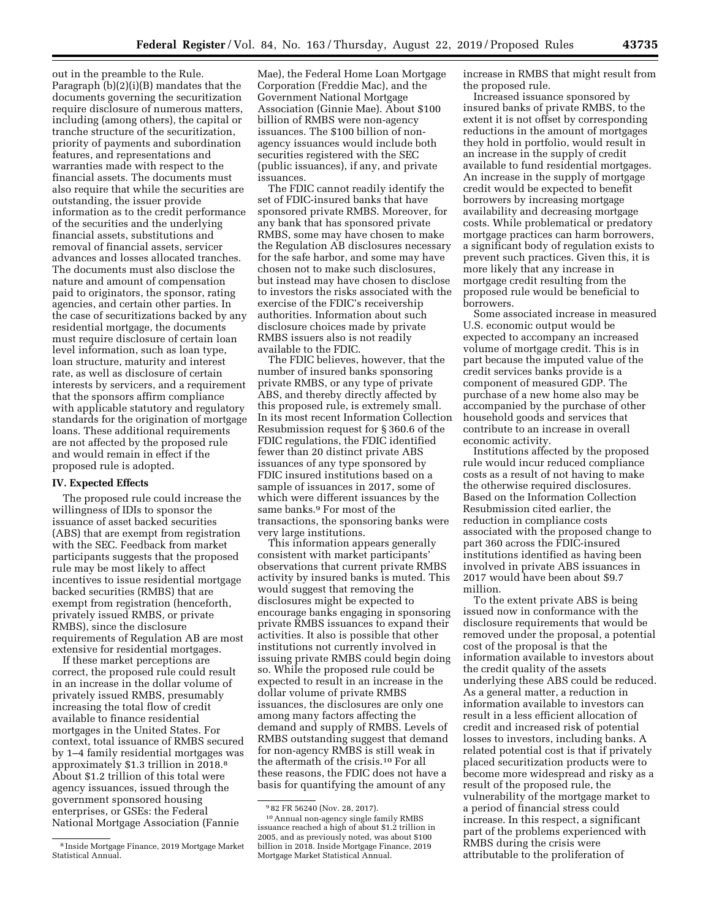Paragraph (b)(2)(i)(B) mandates that the documents governing the securitization require disclosure of numerous matters, including (among others), the capital or tranche structure of the securitization, priority of payments and subordination features, and representations and warranties made with respect to the financial assets. The documents must also require that while the securities are outstanding, the issuer provide information as to the credit performance of the securities and the underlying financial assets, substitutions and removal of financial assets, servicer advances and losses allocated tranches. The documents must also disclose the nature and amount of compensation paid to originators, the sponsor, rating agencies, and certain other parties. In the case of securitizations backed by any residential mortgage, the documents must require disclosure of certain loan level information, such as loan type, loan structure, maturity and interest rate, as well as disclosure of certain interests by servicers, and a requirement that the sponsors affirm compliance with applicable statutory and regulatory standards for the origination of mortgage loans. These additional requirements are not affected by the proposed rule issuances.

# **IV. Expected Effects**

and would remain in effect if the proposed rule is adopted.

out in the preamble to the Rule.

The proposed rule could increase the willingness of IDIs to sponsor the issuance of asset backed securities (ABS) that are exempt from registration with the SEC. Feedback from market participants suggests that the proposed rule may be most likely to affect incentives to issue residential mortgage backed securities (RMBS) that are exempt from registration (henceforth, privately issued RMBS, or private RMBS), since the disclosure requirements of Regulation AB are most extensive for residential mortgages.

If these market perceptions are correct, the proposed rule could result in an increase in the dollar volume of privately issued RMBS, presumably increasing the total flow of credit available to finance residential mortgages in the United States. For context, total issuance of RMBS secured by 1–4 family residential mortgages was approximately \$1.3 trillion in 2018.8 About \$1.2 trillion of this total were agency issuances, issued through the government sponsored housing enterprises, or GSEs: the Federal National Mortgage Association (Fannie

Mae), the Federal Home Loan Mortgage Corporation (Freddie Mac), and the Government National Mortgage Association (Ginnie Mae). About \$100 billion of RMBS were non-agency issuances. The \$100 billion of nonagency issuances would include both securities registered with the SEC (public issuances), if any, and private

The FDIC cannot readily identify the set of FDIC-insured banks that have sponsored private RMBS. Moreover, for any bank that has sponsored private RMBS, some may have chosen to make the Regulation AB disclosures necessary for the safe harbor, and some may have chosen not to make such disclosures, but instead may have chosen to disclose to investors the risks associated with the exercise of the FDIC's receivership authorities. Information about such disclosure choices made by private RMBS issuers also is not readily available to the FDIC.

The FDIC believes, however, that the number of insured banks sponsoring private RMBS, or any type of private ABS, and thereby directly affected by this proposed rule, is extremely small. In its most recent Information Collection Resubmission request for § 360.6 of the FDIC regulations, the FDIC identified fewer than 20 distinct private ABS issuances of any type sponsored by FDIC insured institutions based on a sample of issuances in 2017, some of which were different issuances by the same banks.9 For most of the transactions, the sponsoring banks were very large institutions.

This information appears generally consistent with market participants' observations that current private RMBS activity by insured banks is muted. This would suggest that removing the disclosures might be expected to encourage banks engaging in sponsoring private RMBS issuances to expand their activities. It also is possible that other institutions not currently involved in issuing private RMBS could begin doing so. While the proposed rule could be expected to result in an increase in the dollar volume of private RMBS issuances, the disclosures are only one among many factors affecting the demand and supply of RMBS. Levels of RMBS outstanding suggest that demand for non-agency RMBS is still weak in the aftermath of the crisis.10 For all these reasons, the FDIC does not have a basis for quantifying the amount of any

issuance reached a high of about \$1.2 trillion in 2005, and as previously noted, was about \$100 billion in 2018. Inside Mortgage Finance, 2019 Mortgage Market Statistical Annual.

increase in RMBS that might result from the proposed rule. Increased issuance sponsored by

insured banks of private RMBS, to the extent it is not offset by corresponding reductions in the amount of mortgages they hold in portfolio, would result in an increase in the supply of credit available to fund residential mortgages. An increase in the supply of mortgage credit would be expected to benefit borrowers by increasing mortgage availability and decreasing mortgage costs. While problematical or predatory mortgage practices can harm borrowers, a significant body of regulation exists to prevent such practices. Given this, it is more likely that any increase in mortgage credit resulting from the proposed rule would be beneficial to borrowers.

Some associated increase in measured U.S. economic output would be expected to accompany an increased volume of mortgage credit. This is in part because the imputed value of the credit services banks provide is a component of measured GDP. The purchase of a new home also may be accompanied by the purchase of other household goods and services that contribute to an increase in overall economic activity.

Institutions affected by the proposed rule would incur reduced compliance costs as a result of not having to make the otherwise required disclosures. Based on the Information Collection Resubmission cited earlier, the reduction in compliance costs associated with the proposed change to part 360 across the FDIC-insured institutions identified as having been involved in private ABS issuances in 2017 would have been about \$9.7 million.

To the extent private ABS is being issued now in conformance with the disclosure requirements that would be removed under the proposal, a potential cost of the proposal is that the information available to investors about the credit quality of the assets underlying these ABS could be reduced. As a general matter, a reduction in information available to investors can result in a less efficient allocation of credit and increased risk of potential losses to investors, including banks. A related potential cost is that if privately placed securitization products were to become more widespread and risky as a result of the proposed rule, the vulnerability of the mortgage market to a period of financial stress could increase. In this respect, a significant part of the problems experienced with RMBS during the crisis were attributable to the proliferation of

<sup>8</sup> Inside Mortgage Finance, 2019 Mortgage Market Statistical Annual.

<sup>9</sup> 82 FR 56240 (Nov. 28, 2017). 10Annual non-agency single family RMBS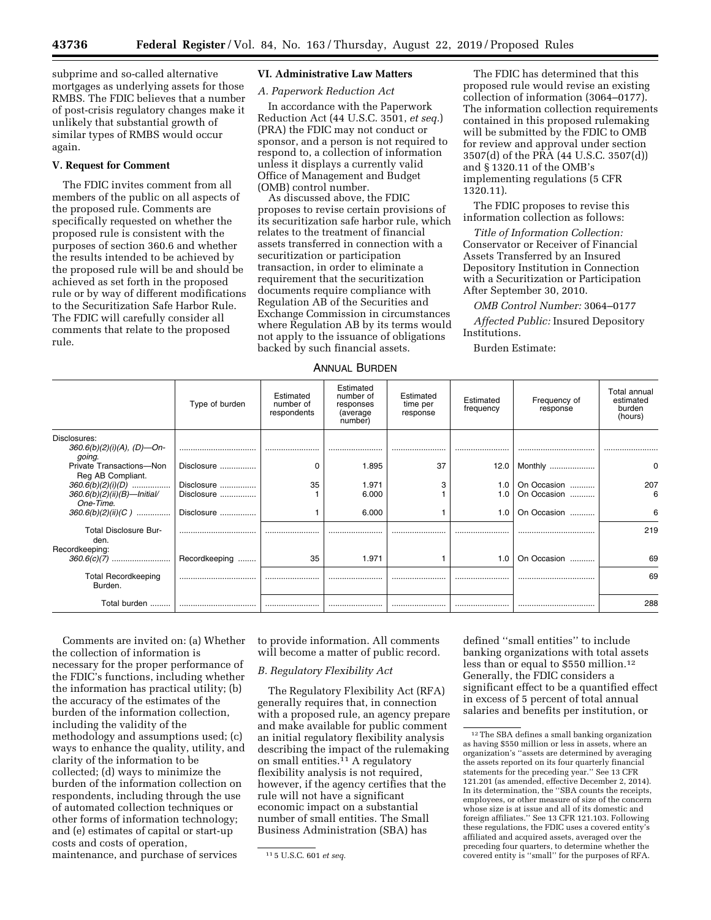subprime and so-called alternative mortgages as underlying assets for those RMBS. The FDIC believes that a number of post-crisis regulatory changes make it unlikely that substantial growth of similar types of RMBS would occur again.

# **V. Request for Comment**

The FDIC invites comment from all members of the public on all aspects of the proposed rule. Comments are specifically requested on whether the proposed rule is consistent with the purposes of section 360.6 and whether the results intended to be achieved by the proposed rule will be and should be achieved as set forth in the proposed rule or by way of different modifications to the Securitization Safe Harbor Rule. The FDIC will carefully consider all comments that relate to the proposed rule.

# **VI. Administrative Law Matters**

## *A. Paperwork Reduction Act*

In accordance with the Paperwork Reduction Act (44 U.S.C. 3501, *et seq.*) (PRA) the FDIC may not conduct or sponsor, and a person is not required to respond to, a collection of information unless it displays a currently valid Office of Management and Budget (OMB) control number.

As discussed above, the FDIC proposes to revise certain provisions of its securitization safe harbor rule, which relates to the treatment of financial assets transferred in connection with a securitization or participation transaction, in order to eliminate a requirement that the securitization documents require compliance with Regulation AB of the Securities and Exchange Commission in circumstances where Regulation AB by its terms would not apply to the issuance of obligations backed by such financial assets.

The FDIC has determined that this proposed rule would revise an existing collection of information (3064–0177). The information collection requirements contained in this proposed rulemaking will be submitted by the FDIC to OMB for review and approval under section 3507(d) of the PRA (44 U.S.C. 3507(d)) and § 1320.11 of the OMB's implementing regulations (5 CFR 1320.11).

The FDIC proposes to revise this information collection as follows:

*Title of Information Collection:*  Conservator or Receiver of Financial Assets Transferred by an Insured Depository Institution in Connection with a Securitization or Participation After September 30, 2010.

*OMB Control Number:* 3064–0177

*Affected Public:* Insured Depository Institutions.

Burden Estimate:

## ANNUAL BURDEN

|                                                                 | Type of burden           | Estimated<br>number of<br>respondents | Estimated<br>number of<br>responses<br>(average<br>number) | Estimated<br>time per<br>response | Estimated<br>frequency | Frequency of<br>response   | Total annual<br>estimated<br>burden<br>(hours) |
|-----------------------------------------------------------------|--------------------------|---------------------------------------|------------------------------------------------------------|-----------------------------------|------------------------|----------------------------|------------------------------------------------|
| Disclosures:<br>$360.6(b)(2)(i)(A), (D)$ —On-<br>going.         |                          |                                       |                                                            |                                   |                        |                            |                                                |
| Private Transactions-Non<br>Reg AB Compliant.                   | Disclosure               | $\Omega$                              | 1.895                                                      | 37                                |                        | 12.0   Monthly             | 0                                              |
| $360.6(b)(2)(i)(D)$<br>360.6(b)(2)(ii)(B)-Initial/<br>One-Time. | Disclosure<br>Disclosure | 35                                    | 1.971<br>6.000                                             | 3                                 | 1.0<br>1.0             | On Occasion<br>On Occasion | 207<br>6                                       |
| $360.6(b)(2)(ii)(C)$                                            | Disclosure               |                                       | 6.000                                                      |                                   | 1.0                    | On Occasion                | 6                                              |
| Total Disclosure Bur-<br>den.<br>Recordkeeping:                 |                          |                                       |                                                            |                                   |                        |                            | 219                                            |
|                                                                 | Recordkeeping            | 35                                    | 1.971                                                      |                                   | 1.0                    | On Occasion                | 69                                             |
| <b>Total Recordkeeping</b><br>Burden.                           |                          |                                       |                                                            |                                   |                        |                            | 69                                             |
| Total burden                                                    |                          |                                       |                                                            |                                   |                        |                            | 288                                            |

Comments are invited on: (a) Whether the collection of information is necessary for the proper performance of the FDIC's functions, including whether the information has practical utility; (b) the accuracy of the estimates of the burden of the information collection, including the validity of the methodology and assumptions used; (c) ways to enhance the quality, utility, and clarity of the information to be collected; (d) ways to minimize the burden of the information collection on respondents, including through the use of automated collection techniques or other forms of information technology; and (e) estimates of capital or start-up costs and costs of operation, maintenance, and purchase of services

to provide information. All comments will become a matter of public record.

## *B. Regulatory Flexibility Act*

The Regulatory Flexibility Act (RFA) generally requires that, in connection with a proposed rule, an agency prepare and make available for public comment an initial regulatory flexibility analysis describing the impact of the rulemaking on small entities.<sup>11</sup> A regulatory flexibility analysis is not required, however, if the agency certifies that the rule will not have a significant economic impact on a substantial number of small entities. The Small Business Administration (SBA) has

defined ''small entities'' to include banking organizations with total assets less than or equal to \$550 million.12 Generally, the FDIC considers a significant effect to be a quantified effect in excess of 5 percent of total annual salaries and benefits per institution, or

<sup>11</sup> 5 U.S.C. 601 *et seq.* 

 $^{\rm 12}\rm{The~SBA}$  defines a small banking organization as having \$550 million or less in assets, where an organization's ''assets are determined by averaging the assets reported on its four quarterly financial statements for the preceding year.'' See 13 CFR 121.201 (as amended, effective December 2, 2014). In its determination, the ''SBA counts the receipts, employees, or other measure of size of the concern whose size is at issue and all of its domestic and foreign affiliates.'' See 13 CFR 121.103. Following these regulations, the FDIC uses a covered entity' affiliated and acquired assets, averaged over the preceding four quarters, to determine whether the covered entity is ''small'' for the purposes of RFA.